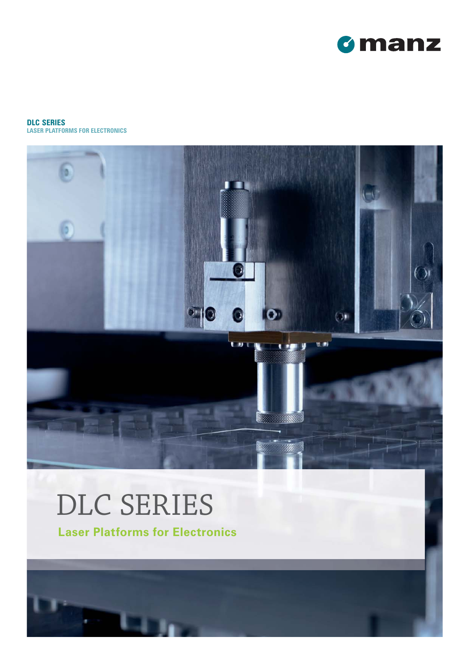

**DLC SERIES LASER PLATFORMS FOR ELECTRONICS**



# DLC SERIES

**Laser Platforms for Electronics**